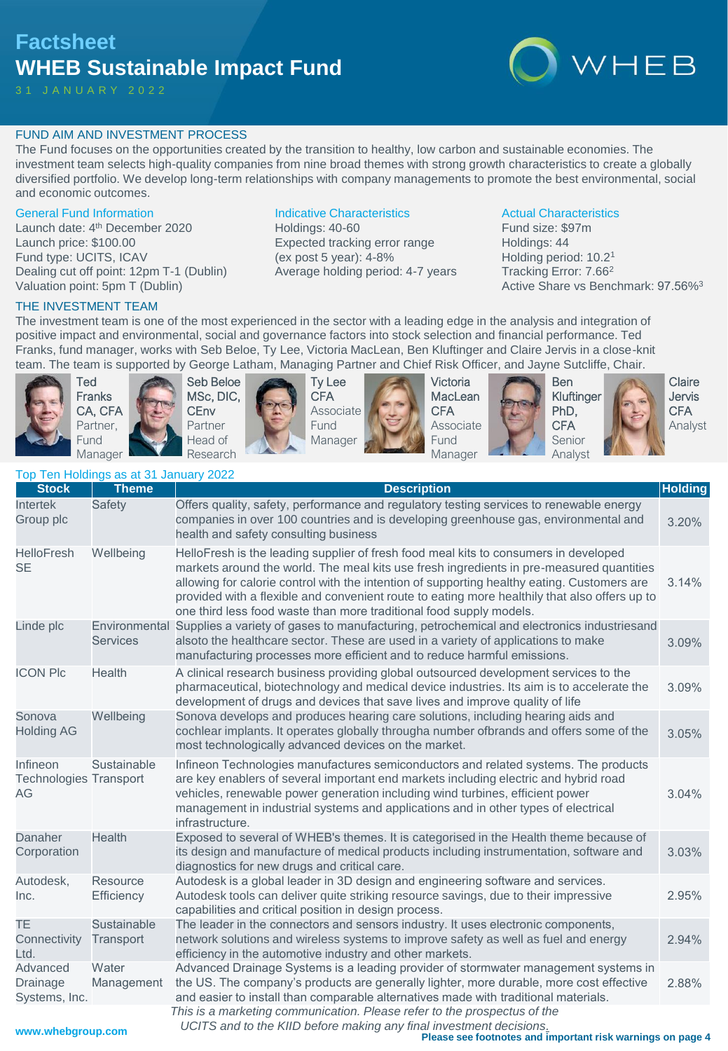# **Factsheet WHEB Sustainable Impact Fund**



# FUND AIM AND INVESTMENT PROCESS

The Fund focuses on the opportunities created by the transition to healthy, low carbon and sustainable economies. The investment team selects high-quality companies from nine broad themes with strong growth characteristics to create a globally diversified portfolio. We develop long-term relationships with company managements to promote the best environmental, social and economic outcomes.

### General Fund Information

Launch date: 4<sup>th</sup> December 2020 Launch price: \$100.00 Fund type: UCITS, ICAV Dealing cut off point: 12pm T-1 (Dublin) Valuation point: 5pm T (Dublin)

# Indicative Characteristics

Holdings: 40-60 Expected tracking error range (ex post 5 year): 4-8% Average holding period: 4-7 years

# Actual Characteristics

Fund size: \$97m Holdings: 44 Holding period: 10.2<sup>1</sup> Tracking Error: 7.66<sup>2</sup> Active Share vs Benchmark: 97.56%<sup>3</sup>

# THE INVESTMENT TEAM

The investment team is one of the most experienced in the sector with a leading edge in the analysis and integration of positive impact and environmental, social and governance factors into stock selection and financial performance. Ted Franks, fund manager, works with Seb Beloe, Ty Lee, Victoria MacLean, Ben Kluftinger and Claire Jervis in a close-knit team. The team is supported by George Latham, Managing Partner and Chief Risk Officer, and Jayne Sutcliffe, Chair.



Ted Franks CA, CFA Partner, Fund Manager





Ty Lee **CFA** Associate Fund Manager



Victoria **MacLean CFA** Associate Fund Manager





Kluftinger Senior Analyst

Claire Jervis **CFA** Analyst

|  | Top Ten Holdings as at 31 January 2022 |  |  |
|--|----------------------------------------|--|--|
|  |                                        |  |  |

| <b>Stock</b>                                    | <b>Theme</b>                     | <b>Description</b>                                                                                                                                                                                                                                                                                                                                                                                                                                      | <b>Holding</b> |
|-------------------------------------------------|----------------------------------|---------------------------------------------------------------------------------------------------------------------------------------------------------------------------------------------------------------------------------------------------------------------------------------------------------------------------------------------------------------------------------------------------------------------------------------------------------|----------------|
| <b>Intertek</b><br>Group plc                    | Safety                           | Offers quality, safety, performance and regulatory testing services to renewable energy<br>companies in over 100 countries and is developing greenhouse gas, environmental and<br>health and safety consulting business                                                                                                                                                                                                                                 | 3.20%          |
| <b>HelloFresh</b><br><b>SE</b>                  | Wellbeing                        | HelloFresh is the leading supplier of fresh food meal kits to consumers in developed<br>markets around the world. The meal kits use fresh ingredients in pre-measured quantities<br>allowing for calorie control with the intention of supporting healthy eating. Customers are<br>provided with a flexible and convenient route to eating more healthily that also offers up to<br>one third less food waste than more traditional food supply models. | 3.14%          |
| Linde plc                                       | Environmental<br><b>Services</b> | Supplies a variety of gases to manufacturing, petrochemical and electronics industriesand<br>alsoto the healthcare sector. These are used in a variety of applications to make<br>manufacturing processes more efficient and to reduce harmful emissions.                                                                                                                                                                                               | 3.09%          |
| <b>ICON PIc</b>                                 | Health                           | A clinical research business providing global outsourced development services to the<br>pharmaceutical, biotechnology and medical device industries. Its aim is to accelerate the<br>development of drugs and devices that save lives and improve quality of life                                                                                                                                                                                       | 3.09%          |
| Sonova<br><b>Holding AG</b>                     | Wellbeing                        | Sonova develops and produces hearing care solutions, including hearing aids and<br>cochlear implants. It operates globally througha number ofbrands and offers some of the<br>most technologically advanced devices on the market.                                                                                                                                                                                                                      | 3.05%          |
| Infineon<br><b>Technologies Transport</b><br>AG | Sustainable                      | Infineon Technologies manufactures semiconductors and related systems. The products<br>are key enablers of several important end markets including electric and hybrid road<br>vehicles, renewable power generation including wind turbines, efficient power<br>management in industrial systems and applications and in other types of electrical<br>infrastructure.                                                                                   | 3.04%          |
| Danaher<br>Corporation                          | <b>Health</b>                    | Exposed to several of WHEB's themes. It is categorised in the Health theme because of<br>its design and manufacture of medical products including instrumentation, software and<br>diagnostics for new drugs and critical care.                                                                                                                                                                                                                         | 3.03%          |
| Autodesk,<br>Inc.                               | Resource<br>Efficiency           | Autodesk is a global leader in 3D design and engineering software and services.<br>Autodesk tools can deliver quite striking resource savings, due to their impressive<br>capabilities and critical position in design process.                                                                                                                                                                                                                         | 2.95%          |
| <b>TE</b><br>Connectivity<br>Ltd.               | Sustainable<br>Transport         | The leader in the connectors and sensors industry. It uses electronic components,<br>network solutions and wireless systems to improve safety as well as fuel and energy<br>efficiency in the automotive industry and other markets.                                                                                                                                                                                                                    | 2.94%          |
| Advanced<br>Drainage<br>Systems, Inc.           | Water<br>Management              | Advanced Drainage Systems is a leading provider of stormwater management systems in<br>the US. The company's products are generally lighter, more durable, more cost effective<br>and easier to install than comparable alternatives made with traditional materials.                                                                                                                                                                                   | 2.88%          |
| مالم ماد د د د                                  |                                  | This is a marketing communication. Please refer to the prospectus of the<br>UCITS and to the KIID before making any final investment decisions.                                                                                                                                                                                                                                                                                                         |                |

**Please see footnotes and important risk warnings on page 4**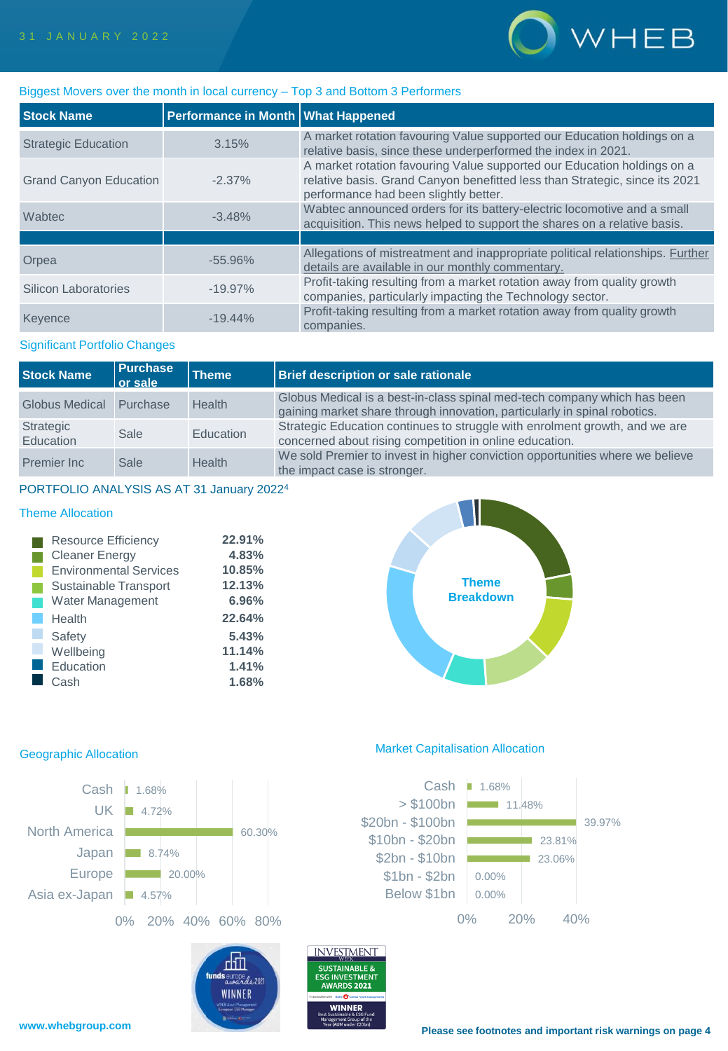

# Biggest Movers over the month in local currency – Top 3 and Bottom 3 Performers

| <b>Stock Name</b>             | Performance in Month   What Happened |                                                                                                                                                                                                 |
|-------------------------------|--------------------------------------|-------------------------------------------------------------------------------------------------------------------------------------------------------------------------------------------------|
| <b>Strategic Education</b>    | 3.15%                                | A market rotation favouring Value supported our Education holdings on a<br>relative basis, since these underperformed the index in 2021.                                                        |
| <b>Grand Canyon Education</b> | $-2.37\%$                            | A market rotation favouring Value supported our Education holdings on a<br>relative basis. Grand Canyon benefitted less than Strategic, since its 2021<br>performance had been slightly better. |
| Wabtec                        | $-3.48%$                             | Wabtec announced orders for its battery-electric locomotive and a small<br>acquisition. This news helped to support the shares on a relative basis.                                             |
|                               |                                      |                                                                                                                                                                                                 |
| Orpea                         | $-55.96%$                            | Allegations of mistreatment and inappropriate political relationships. Further<br>details are available in our monthly commentary.                                                              |
| Silicon Laboratories          | $-19.97\%$                           | Profit-taking resulting from a market rotation away from quality growth<br>companies, particularly impacting the Technology sector.                                                             |
| Keyence                       | $-19.44\%$                           | Profit-taking resulting from a market rotation away from quality growth<br>companies.                                                                                                           |

# Significant Portfolio Changes

| <b>Stock Name</b>       | <b>Purchase</b><br>or sale | <b>Theme</b>  | Brief description or sale rationale                                                                                                                   |
|-------------------------|----------------------------|---------------|-------------------------------------------------------------------------------------------------------------------------------------------------------|
| Globus Medical Purchase |                            | <b>Health</b> | Globus Medical is a best-in-class spinal med-tech company which has been<br>gaining market share through innovation, particularly in spinal robotics. |
| Strategic<br>Education  | Sale                       | Education     | Strategic Education continues to struggle with enrolment growth, and we are<br>concerned about rising competition in online education.                |
| Premier Inc             | Sale                       | <b>Health</b> | We sold Premier to invest in higher conviction opportunities where we believe<br>the impact case is stronger.                                         |

## PORTFOLIO ANALYSIS AS AT 31 January 2022<sup>4</sup>

# Theme Allocation

| <b>Resource Efficiency</b>    | 22.91% |
|-------------------------------|--------|
| <b>Cleaner Energy</b>         | 4.83%  |
| <b>Environmental Services</b> | 10.85% |
| Sustainable Transport         | 12.13% |
| <b>Water Management</b>       | 6.96%  |
| Health                        | 22.64% |
| Safety                        | 5.43%  |
| Wellbeing                     | 11.14% |
| Education                     | 1.41%  |
| Cash                          | 1.68%  |





# **INVESTMENT** rliTl funds europe de 2021 WINNER

SUSTAINABLE &

**ESG INVESTMENT WARDS 2021** 

VINNEF

# Geographic Allocation Market Capitalisation Allocation

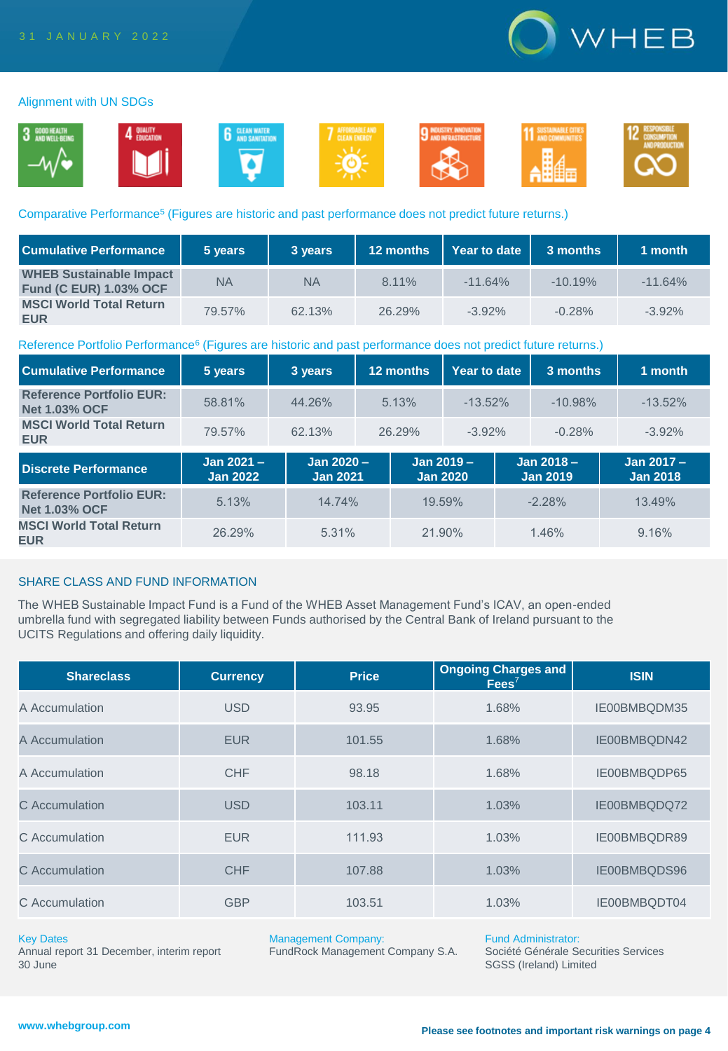

### Alignment with UN SDGs



### Comparative Performance<sup>5</sup> (Figures are historic and past performance does not predict future returns.)

| <b>Cumulative Performance</b>                                   | 5 years   | 3 years   | 12 months | Year to date | 3 months  | 1 month   |
|-----------------------------------------------------------------|-----------|-----------|-----------|--------------|-----------|-----------|
| <b>WHEB Sustainable Impact</b><br><b>Fund (C EUR) 1.03% OCF</b> | <b>NA</b> | <b>NA</b> | 8.11%     | $-11.64%$    | $-10.19%$ | $-11.64%$ |
| <b>MSCI World Total Return</b><br><b>EUR</b>                    | 79.57%    | 62.13%    | 26.29%    | $-3.92\%$    | $-0.28%$  | $-3.92%$  |

### Reference Portfolio Performance<sup>6</sup> (Figures are historic and past performance does not predict future returns.)

| <b>Cumulative Performance</b>                           | 5 years                      | 3 years                       | 12 months |                               |            | Year to date<br>3 months |                                 | 1 month                       |  |
|---------------------------------------------------------|------------------------------|-------------------------------|-----------|-------------------------------|------------|--------------------------|---------------------------------|-------------------------------|--|
| <b>Reference Portfolio EUR:</b><br><b>Net 1.03% OCF</b> | 58.81%                       | 44.26%                        | 5.13%     |                               | $-13.52\%$ |                          | $-10.98%$                       | $-13.52\%$                    |  |
| <b>MSCI World Total Return</b><br><b>EUR</b>            | 79.57%                       | 62.13%                        | 26.29%    |                               | $-3.92\%$  |                          | $-0.28%$                        | $-3.92\%$                     |  |
| <b>Discrete Performance</b>                             | Jan 2021-<br><b>Jan 2022</b> | Jan 2020 -<br><b>Jan 2021</b> |           | Jan 2019 -<br><b>Jan 2020</b> |            |                          | Jan $2018 -$<br><b>Jan 2019</b> | Jan 2017 -<br><b>Jan 2018</b> |  |
| <b>Reference Portfolio EUR:</b><br><b>Net 1.03% OCF</b> | 5.13%                        | 14.74%                        |           | 19.59%                        |            |                          | $-2.28%$                        | 13.49%                        |  |
| <b>MSCI World Total Return</b><br><b>EUR</b>            | 26.29%                       | 5.31%                         |           | 21.90%                        |            |                          | 1.46%                           | 9.16%                         |  |

## SHARE CLASS AND FUND INFORMATION

The WHEB Sustainable Impact Fund is a Fund of the WHEB Asset Management Fund's ICAV, an open-ended umbrella fund with segregated liability between Funds authorised by the Central Bank of Ireland pursuant to the UCITS Regulations and offering daily liquidity.

| <b>Shareclass</b> | <b>Currency</b> | <b>Price</b> | <b>Ongoing Charges and</b><br>Fees <sup>7</sup> | <b>ISIN</b>  |
|-------------------|-----------------|--------------|-------------------------------------------------|--------------|
| A Accumulation    | <b>USD</b>      | 93.95        | 1.68%                                           | IE00BMBQDM35 |
| A Accumulation    | <b>EUR</b>      | 101.55       | 1.68%                                           | IE00BMBQDN42 |
| A Accumulation    | <b>CHF</b>      | 98.18        | 1.68%                                           | IE00BMBQDP65 |
| C Accumulation    | <b>USD</b>      | 103.11       | 1.03%                                           | IE00BMBQDQ72 |
| C Accumulation    | <b>EUR</b>      | 111.93       | 1.03%                                           | IE00BMBQDR89 |
| C Accumulation    | <b>CHF</b>      | 107.88       | 1.03%                                           | IE00BMBQDS96 |
| C Accumulation    | <b>GBP</b>      | 103.51       | 1.03%                                           | IE00BMBQDT04 |

### Key Dates

Annual report 31 December, interim report 30 June

Management Company:

FundRock Management Company S.A.

Fund Administrator:

Société Générale Securities Services SGSS (Ireland) Limited